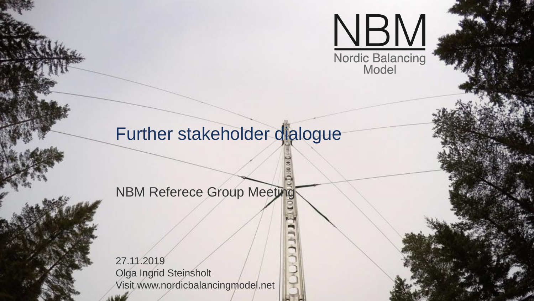

## Further stakeholder dialogue

#### NBM Referece Group Meeting

27.11.2019 Olga Ingrid Steinsholt Visit www.nordicbalancingmodel.net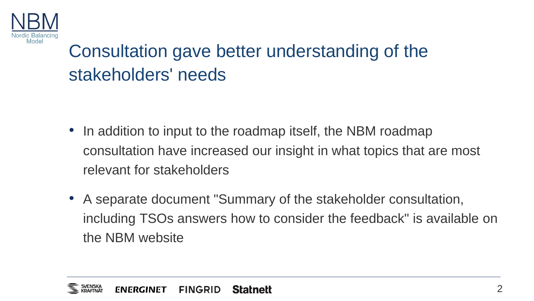

# Consultation gave better understanding of the stakeholders' needs

- In addition to input to the roadmap itself, the NBM roadmap consultation have increased our insight in what topics that are most relevant for stakeholders
- A separate document "Summary of the stakeholder consultation, including TSOs answers how to consider the feedback" is available on the NBM website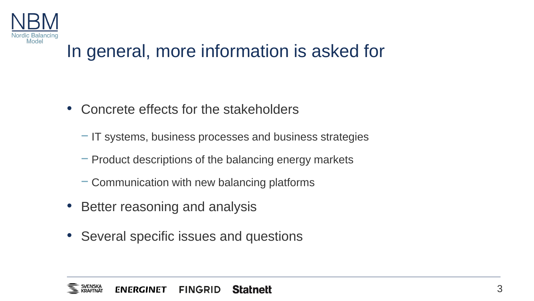

## In general, more information is asked for

- Concrete effects for the stakeholders
	- − IT systems, business processes and business strategies
	- − Product descriptions of the balancing energy markets
	- − Communication with new balancing platforms
- Better reasoning and analysis
- Several specific issues and questions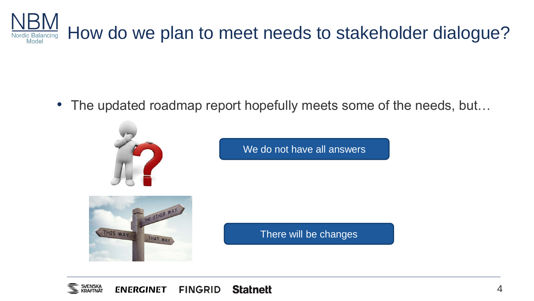

• The updated roadmap report hopefully meets some of the needs, but...



We do not have all answers



There will be changes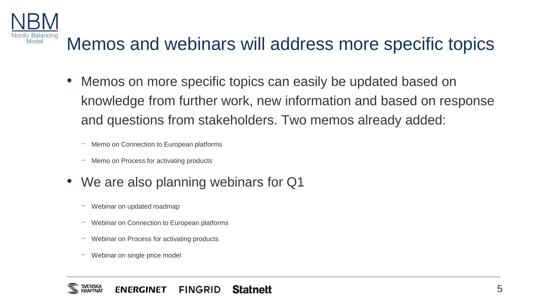

# Memos and webinars will address more specific topics

- Memos on more specific topics can easily be updated based on knowledge from further work, new information and based on response and questions from stakeholders. Two memos already added:
	- − Memo on Connection to European platforms
	- − Memo on Process for activating products
- We are also planning webinars for Q1
	- − Webinar on updated roadmap
	- − Webinar on Connection to European platforms
	- − Webinar on Process for activating products
	- Webinar on single price model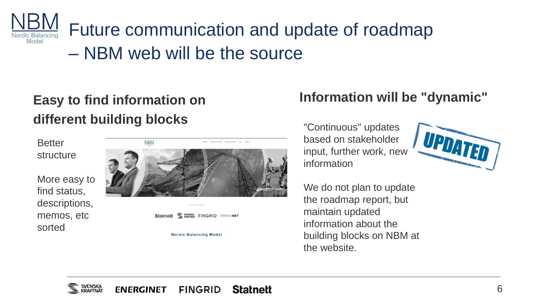Future communication and update of roadmap Nordic Balancing Model – NBM web will be the source

#### **Easy to find information on different building blocks**

**Better** structure

More easy to find status, descriptions, memos, etc sorted



Statnett <u>We KRAFINAT</u> FINGRID ENERGINET

**Nordic Balancing Model** 

#### **Information will be "dynamic"**

"Continuous" updates based on stakeholder input, further work, new information



We do not plan to update the roadmap report, but maintain updated information about the building blocks on NBM at the website.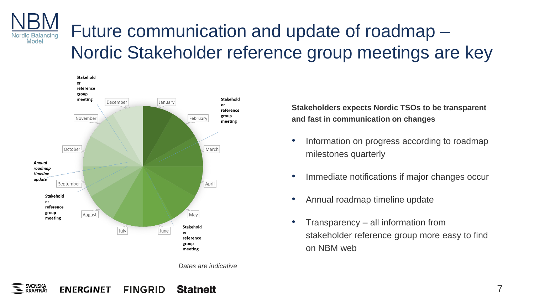#### Future communication and update of roadmap – Nordic Balancing Model Nordic Stakeholder reference group meetings are key



*Dates are indicative*

**Stakeholders expects Nordic TSOs to be transparent and fast in communication on changes**

- Information on progress according to roadmap milestones quarterly
- Immediate notifications if major changes occur
- Annual roadmap timeline update
- Transparency all information from stakeholder reference group more easy to find on NBM web